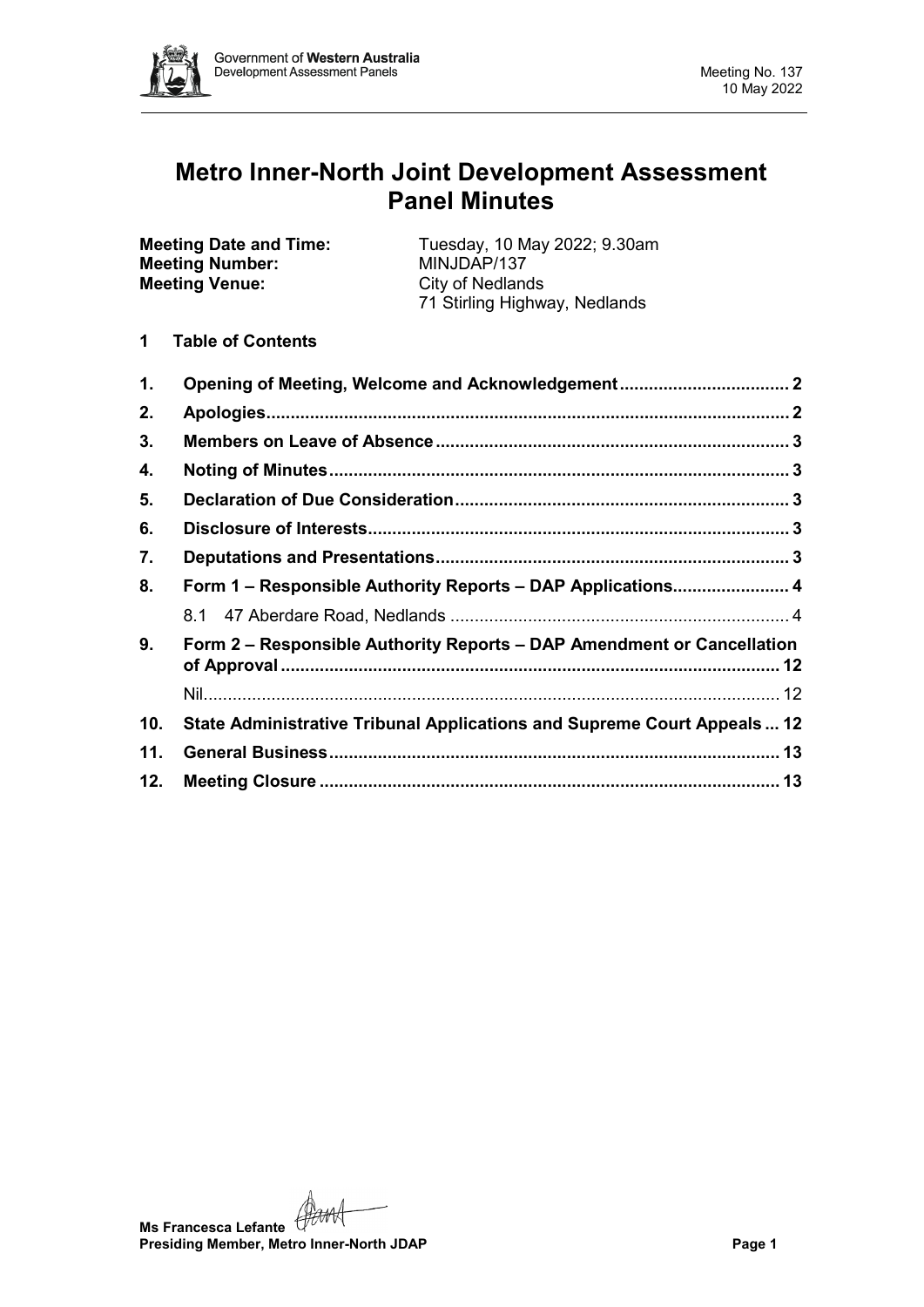

# **Metro Inner-North Joint Development Assessment Panel Minutes**

| <b>Meeting Date and Time:</b> | Tuesday, 10 May 2022; 9.30am  |
|-------------------------------|-------------------------------|
| <b>Meeting Number:</b>        | MINJDAP/137                   |
| <b>Meeting Venue:</b>         | <b>City of Nedlands</b>       |
|                               | 71 Stirling Highway, Nedlands |
|                               |                               |

**1 Table of Contents**

| 1.  | Opening of Meeting, Welcome and Acknowledgement 2                        |  |
|-----|--------------------------------------------------------------------------|--|
| 2.  |                                                                          |  |
| 3.  |                                                                          |  |
| 4.  |                                                                          |  |
| 5.  |                                                                          |  |
| 6.  |                                                                          |  |
| 7.  |                                                                          |  |
| 8.  | Form 1 - Responsible Authority Reports - DAP Applications 4              |  |
|     |                                                                          |  |
| 9.  | Form 2 – Responsible Authority Reports – DAP Amendment or Cancellation   |  |
|     |                                                                          |  |
| 10. | State Administrative Tribunal Applications and Supreme Court Appeals  12 |  |
| 11. |                                                                          |  |
| 12. |                                                                          |  |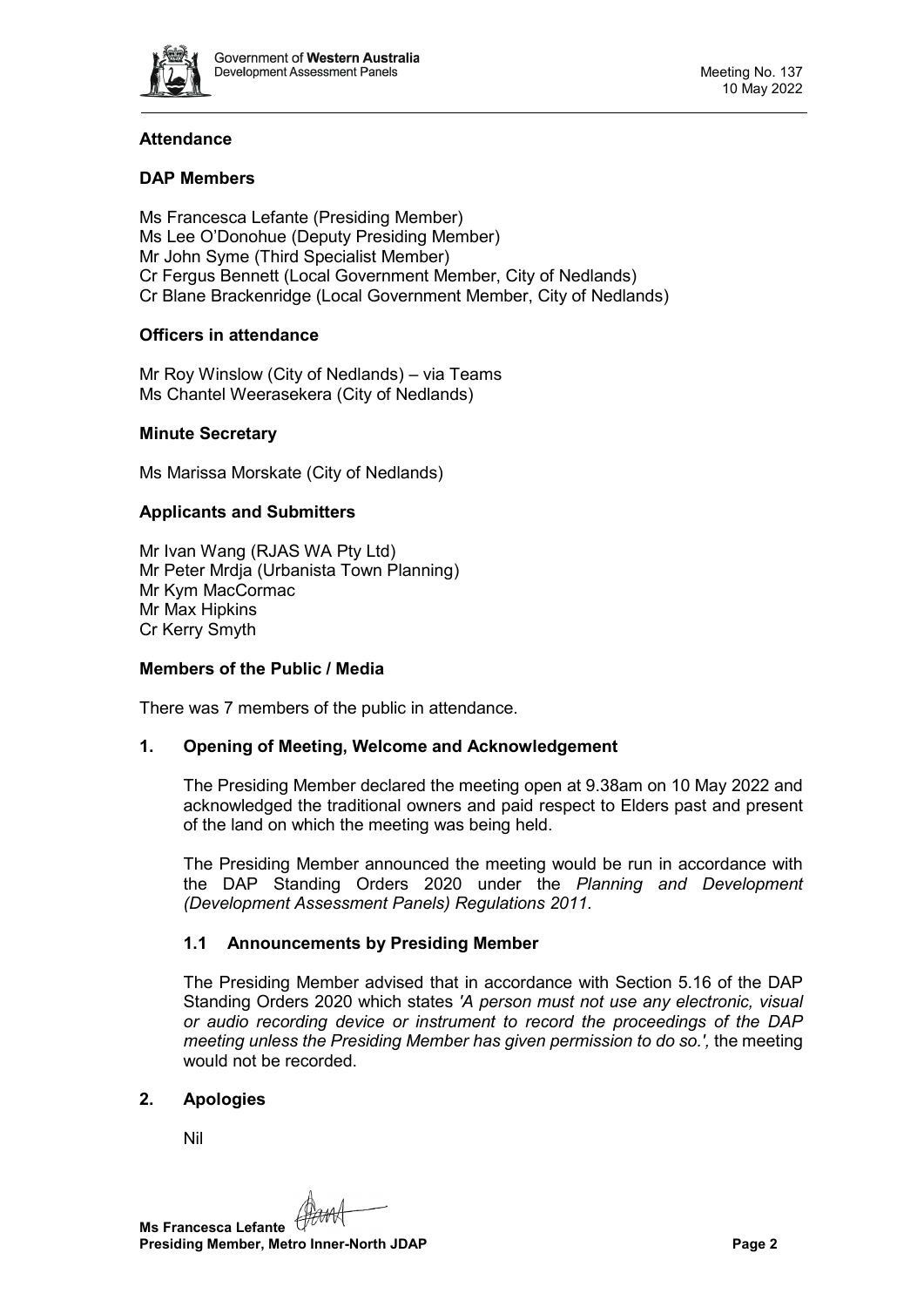

# **Attendance**

# **DAP Members**

Ms Francesca Lefante (Presiding Member) Ms Lee O'Donohue (Deputy Presiding Member) Mr John Syme (Third Specialist Member) Cr Fergus Bennett (Local Government Member, City of Nedlands) Cr Blane Brackenridge (Local Government Member, City of Nedlands)

# **Officers in attendance**

Mr Roy Winslow (City of Nedlands) – via Teams Ms Chantel Weerasekera (City of Nedlands)

# **Minute Secretary**

Ms Marissa Morskate (City of Nedlands)

# **Applicants and Submitters**

Mr Ivan Wang (RJAS WA Pty Ltd) Mr Peter Mrdja (Urbanista Town Planning) Mr Kym MacCormac Mr Max Hipkins Cr Kerry Smyth

# **Members of the Public / Media**

<span id="page-1-0"></span>There was 7 members of the public in attendance.

# **1. Opening of Meeting, Welcome and Acknowledgement**

The Presiding Member declared the meeting open at 9.38am on 10 May 2022 and acknowledged the traditional owners and paid respect to Elders past and present of the land on which the meeting was being held.

The Presiding Member announced the meeting would be run in accordance with the DAP Standing Orders 2020 under the *Planning and Development (Development Assessment Panels) Regulations 2011.*

# **1.1 Announcements by Presiding Member**

The Presiding Member advised that in accordance with Section 5.16 of the DAP Standing Orders 2020 which states *'A person must not use any electronic, visual or audio recording device or instrument to record the proceedings of the DAP meeting unless the Presiding Member has given permission to do so.',* the meeting would not be recorded.

# <span id="page-1-1"></span>**2. Apologies**

Nil

**Ms Francesca Lefante Presiding Member, Metro Inner-North JDAP Page 2**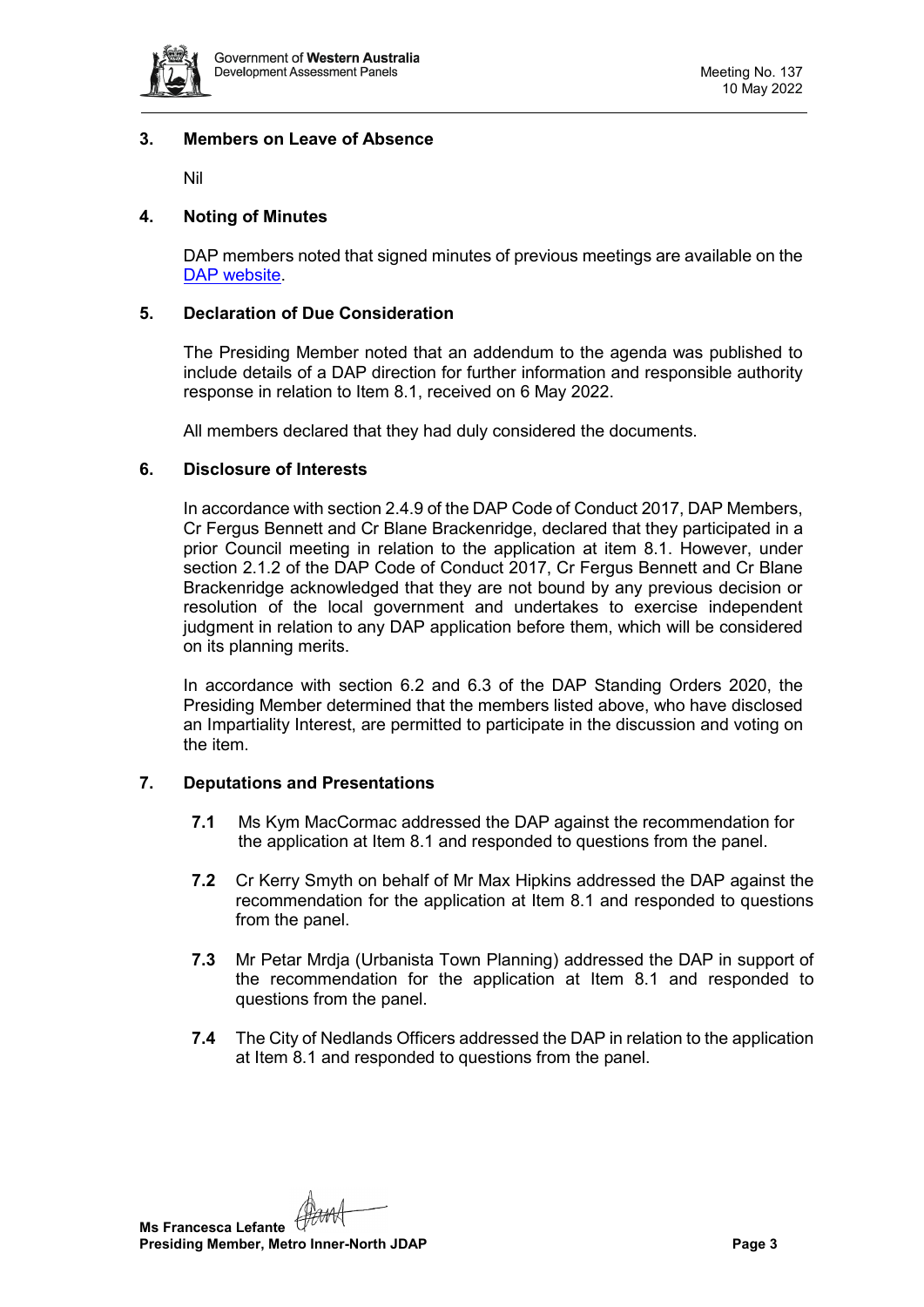

## <span id="page-2-0"></span>**3. Members on Leave of Absence**

Nil

# <span id="page-2-1"></span>**4. Noting of Minutes**

DAP members noted that signed minutes of previous meetings are available on the [DAP website.](https://www.dplh.wa.gov.au/about/development-assessment-panels/daps-agendas-and-minutes)

# <span id="page-2-2"></span>**5. Declaration of Due Consideration**

The Presiding Member noted that an addendum to the agenda was published to include details of a DAP direction for further information and responsible authority response in relation to Item 8.1, received on 6 May 2022.

All members declared that they had duly considered the documents.

## <span id="page-2-3"></span>**6. Disclosure of Interests**

In accordance with section 2.4.9 of the DAP Code of Conduct 2017, DAP Members, Cr Fergus Bennett and Cr Blane Brackenridge, declared that they participated in a prior Council meeting in relation to the application at item 8.1. However, under section 2.1.2 of the DAP Code of Conduct 2017, Cr Fergus Bennett and Cr Blane Brackenridge acknowledged that they are not bound by any previous decision or resolution of the local government and undertakes to exercise independent judgment in relation to any DAP application before them, which will be considered on its planning merits.

In accordance with section 6.2 and 6.3 of the DAP Standing Orders 2020, the Presiding Member determined that the members listed above, who have disclosed an Impartiality Interest, are permitted to participate in the discussion and voting on the item.

# <span id="page-2-4"></span>**7. Deputations and Presentations**

- **7.1** Ms Kym MacCormac addressed the DAP against the recommendation for the application at Item 8.1 and responded to questions from the panel.
- **7.2** Cr Kerry Smyth on behalf of Mr Max Hipkins addressed the DAP against the recommendation for the application at Item 8.1 and responded to questions from the panel.
- **7.3** Mr Petar Mrdja (Urbanista Town Planning) addressed the DAP in support of the recommendation for the application at Item 8.1 and responded to questions from the panel.
- **7.4** The City of Nedlands Officers addressed the DAP in relation to the application at Item 8.1 and responded to questions from the panel.

**Ms Francesca Lefante Presiding Member, Metro Inner-North JDAP Page 3**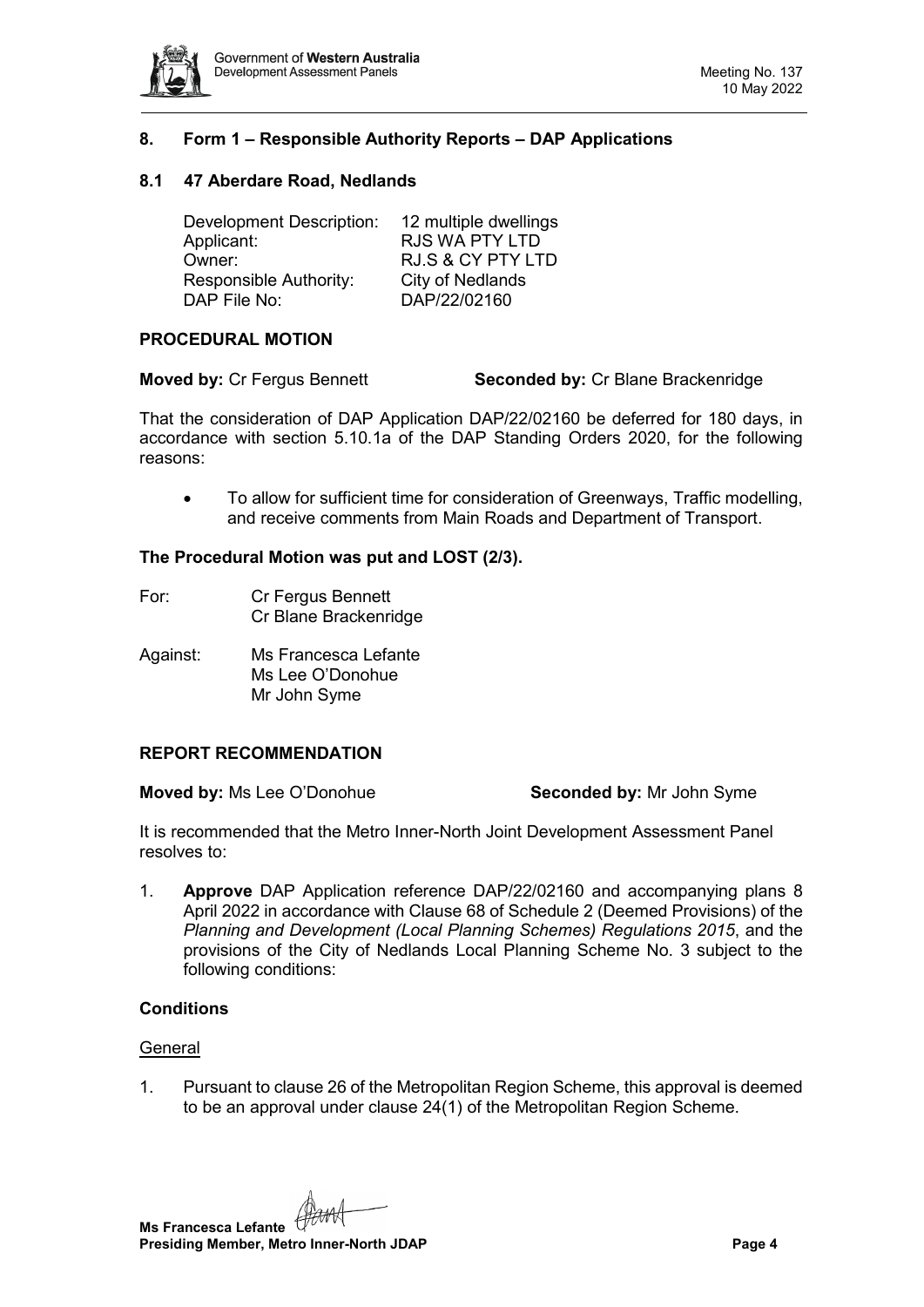

# <span id="page-3-0"></span>**8. Form 1 – Responsible Authority Reports – DAP Applications**

## <span id="page-3-1"></span>**8.1 47 Aberdare Road, Nedlands**

| 12 multiple dwellings        |
|------------------------------|
| <b>RJS WA PTY LTD</b>        |
| <b>RJ.S &amp; CY PTY LTD</b> |
| City of Nedlands             |
| DAP/22/02160                 |
|                              |

#### **PROCEDURAL MOTION**

**Moved by:** Cr Fergus Bennett **Seconded by:** Cr Blane Brackenridge

That the consideration of DAP Application DAP/22/02160 be deferred for 180 days, in accordance with section 5.10.1a of the DAP Standing Orders 2020, for the following reasons:

• To allow for sufficient time for consideration of Greenways, Traffic modelling, and receive comments from Main Roads and Department of Transport.

#### **The Procedural Motion was put and LOST (2/3).**

- For: Cr Fergus Bennett Cr Blane Brackenridge
- Against: Ms Francesca Lefante Ms Lee O'Donohue Mr John Syme

# **REPORT RECOMMENDATION**

**Moved by:** Ms Lee O'Donohue **Seconded by:** Mr John Syme

It is recommended that the Metro Inner-North Joint Development Assessment Panel resolves to:

1. **Approve** DAP Application reference DAP/22/02160 and accompanying plans 8 April 2022 in accordance with Clause 68 of Schedule 2 (Deemed Provisions) of the *Planning and Development (Local Planning Schemes) Regulations 2015*, and the provisions of the City of Nedlands Local Planning Scheme No. 3 subject to the following conditions:

#### **Conditions**

#### **General**

1. Pursuant to clause 26 of the Metropolitan Region Scheme, this approval is deemed to be an approval under clause 24(1) of the Metropolitan Region Scheme.

**Ms Francesca Lefante Presiding Member, Metro Inner-North JDAP Page 4**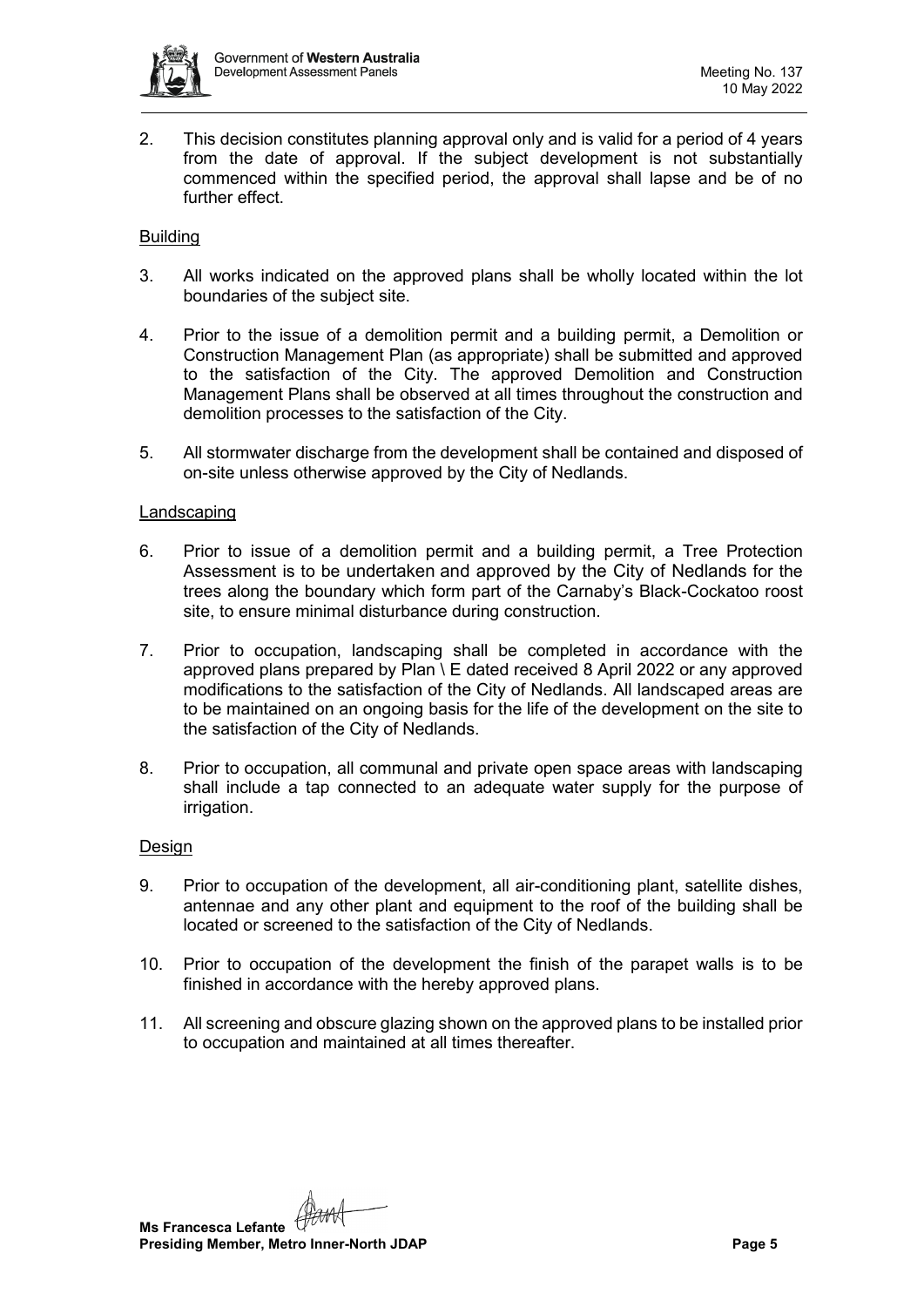

2. This decision constitutes planning approval only and is valid for a period of 4 years from the date of approval. If the subject development is not substantially commenced within the specified period, the approval shall lapse and be of no further effect.

## Building

- 3. All works indicated on the approved plans shall be wholly located within the lot boundaries of the subject site.
- 4. Prior to the issue of a demolition permit and a building permit, a Demolition or Construction Management Plan (as appropriate) shall be submitted and approved to the satisfaction of the City. The approved Demolition and Construction Management Plans shall be observed at all times throughout the construction and demolition processes to the satisfaction of the City.
- 5. All stormwater discharge from the development shall be contained and disposed of on-site unless otherwise approved by the City of Nedlands.

#### Landscaping

- 6. Prior to issue of a demolition permit and a building permit, a Tree Protection Assessment is to be undertaken and approved by the City of Nedlands for the trees along the boundary which form part of the Carnaby's Black-Cockatoo roost site, to ensure minimal disturbance during construction.
- 7. Prior to occupation, landscaping shall be completed in accordance with the approved plans prepared by Plan \ E dated received 8 April 2022 or any approved modifications to the satisfaction of the City of Nedlands. All landscaped areas are to be maintained on an ongoing basis for the life of the development on the site to the satisfaction of the City of Nedlands.
- 8. Prior to occupation, all communal and private open space areas with landscaping shall include a tap connected to an adequate water supply for the purpose of irrigation.

#### Design

- 9. Prior to occupation of the development, all air-conditioning plant, satellite dishes, antennae and any other plant and equipment to the roof of the building shall be located or screened to the satisfaction of the City of Nedlands.
- 10. Prior to occupation of the development the finish of the parapet walls is to be finished in accordance with the hereby approved plans.
- 11. All screening and obscure glazing shown on the approved plans to be installed prior to occupation and maintained at all times thereafter.

**Ms Francesca Lefante Presiding Member, Metro Inner-North JDAP Page 5**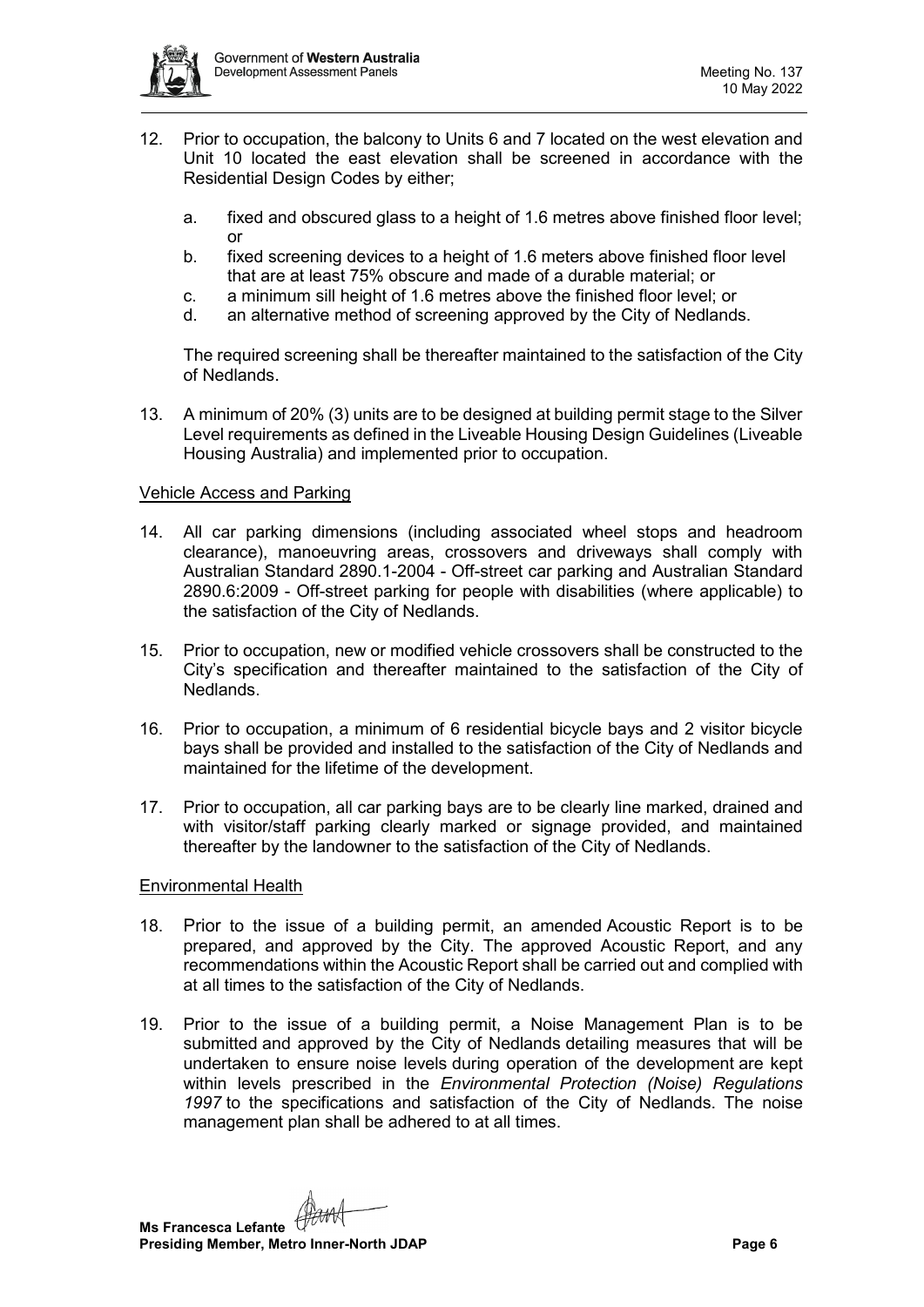

- 12. Prior to occupation, the balcony to Units 6 and 7 located on the west elevation and Unit 10 located the east elevation shall be screened in accordance with the Residential Design Codes by either;
	- a. fixed and obscured glass to a height of 1.6 metres above finished floor level; or
	- b. fixed screening devices to a height of 1.6 meters above finished floor level that are at least 75% obscure and made of a durable material; or
	- c. a minimum sill height of 1.6 metres above the finished floor level; or
	- d. an alternative method of screening approved by the City of Nedlands.

The required screening shall be thereafter maintained to the satisfaction of the City of Nedlands.

13. A minimum of 20% (3) units are to be designed at building permit stage to the Silver Level requirements as defined in the Liveable Housing Design Guidelines (Liveable Housing Australia) and implemented prior to occupation.

## Vehicle Access and Parking

- 14. All car parking dimensions (including associated wheel stops and headroom clearance), manoeuvring areas, crossovers and driveways shall comply with Australian Standard 2890.1-2004 - Off-street car parking and Australian Standard 2890.6:2009 - Off-street parking for people with disabilities (where applicable) to the satisfaction of the City of Nedlands.
- 15. Prior to occupation, new or modified vehicle crossovers shall be constructed to the City's specification and thereafter maintained to the satisfaction of the City of Nedlands.
- 16. Prior to occupation, a minimum of 6 residential bicycle bays and 2 visitor bicycle bays shall be provided and installed to the satisfaction of the City of Nedlands and maintained for the lifetime of the development.
- 17. Prior to occupation, all car parking bays are to be clearly line marked, drained and with visitor/staff parking clearly marked or signage provided, and maintained thereafter by the landowner to the satisfaction of the City of Nedlands.

#### Environmental Health

- 18. Prior to the issue of a building permit, an amended Acoustic Report is to be prepared, and approved by the City. The approved Acoustic Report, and any recommendations within the Acoustic Report shall be carried out and complied with at all times to the satisfaction of the City of Nedlands.
- 19. Prior to the issue of a building permit, a Noise Management Plan is to be submitted and approved by the City of Nedlands detailing measures that will be undertaken to ensure noise levels during operation of the development are kept within levels prescribed in the *Environmental Protection (Noise) Regulations 1997* to the specifications and satisfaction of the City of Nedlands.  The noise management plan shall be adhered to at all times.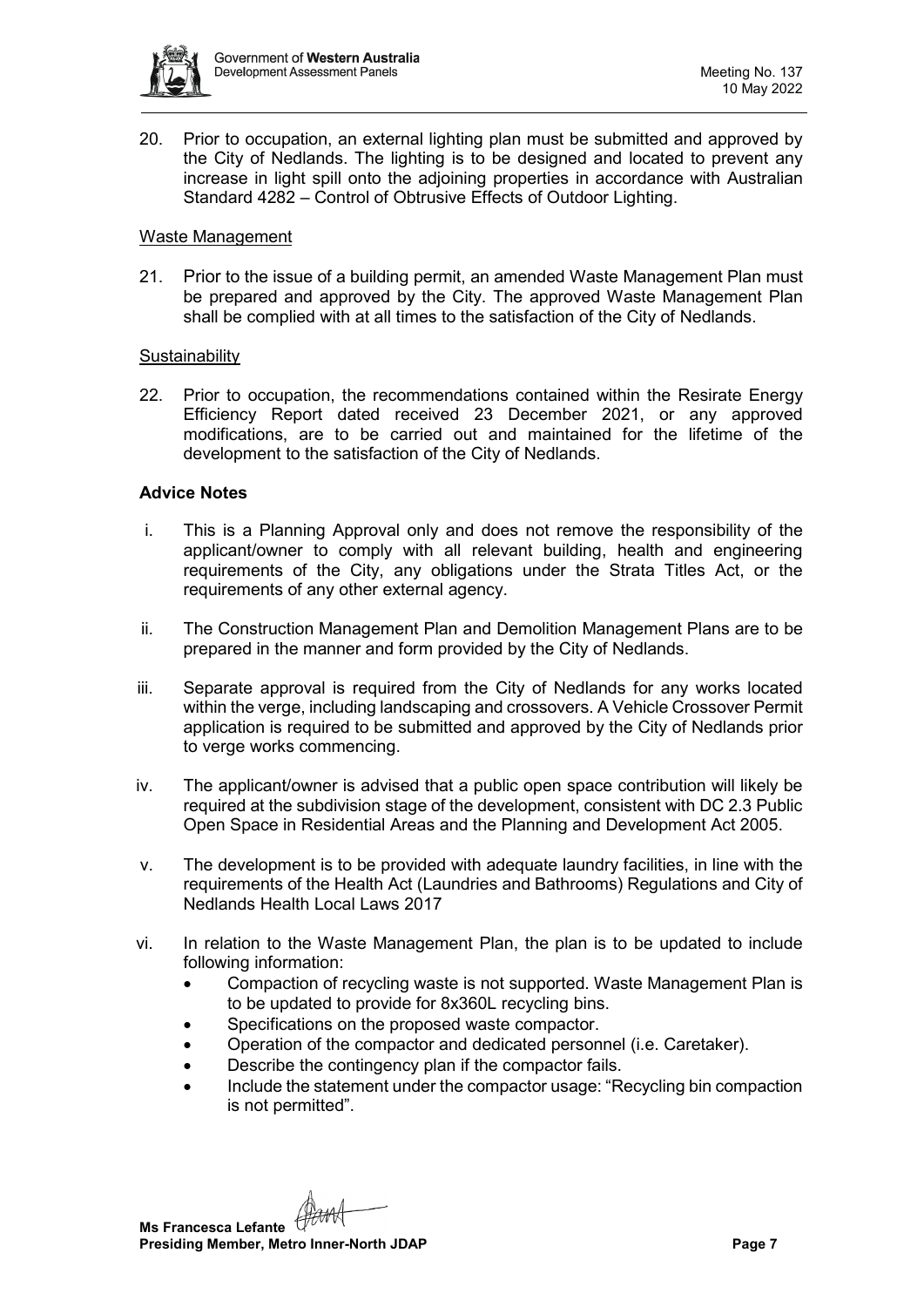

20. Prior to occupation, an external lighting plan must be submitted and approved by the City of Nedlands. The lighting is to be designed and located to prevent any increase in light spill onto the adjoining properties in accordance with Australian Standard 4282 – Control of Obtrusive Effects of Outdoor Lighting.

#### Waste Management

21. Prior to the issue of a building permit, an amended Waste Management Plan must be prepared and approved by the City. The approved Waste Management Plan shall be complied with at all times to the satisfaction of the City of Nedlands.

## **Sustainability**

22. Prior to occupation, the recommendations contained within the Resirate Energy Efficiency Report dated received 23 December 2021, or any approved modifications, are to be carried out and maintained for the lifetime of the development to the satisfaction of the City of Nedlands.

## **Advice Notes**

- i. This is a Planning Approval only and does not remove the responsibility of the applicant/owner to comply with all relevant building, health and engineering requirements of the City, any obligations under the Strata Titles Act, or the requirements of any other external agency.
- ii. The Construction Management Plan and Demolition Management Plans are to be prepared in the manner and form provided by the City of Nedlands.
- iii. Separate approval is required from the City of Nedlands for any works located within the verge, including landscaping and crossovers. A Vehicle Crossover Permit application is required to be submitted and approved by the City of Nedlands prior to verge works commencing.
- iv. The applicant/owner is advised that a public open space contribution will likely be required at the subdivision stage of the development, consistent with DC 2.3 Public Open Space in Residential Areas and the Planning and Development Act 2005.
- v. The development is to be provided with adequate laundry facilities, in line with the requirements of the Health Act (Laundries and Bathrooms) Regulations and City of Nedlands Health Local Laws 2017
- vi. In relation to the Waste Management Plan, the plan is to be updated to include following information:
	- Compaction of recycling waste is not supported. Waste Management Plan is to be updated to provide for 8x360L recycling bins.
	- Specifications on the proposed waste compactor.
	- Operation of the compactor and dedicated personnel (i.e. Caretaker).
	- Describe the contingency plan if the compactor fails.
	- Include the statement under the compactor usage: "Recycling bin compaction is not permitted".

**Ms Francesca Lefante Presiding Member, Metro Inner-North JDAP Page 7 Page 7**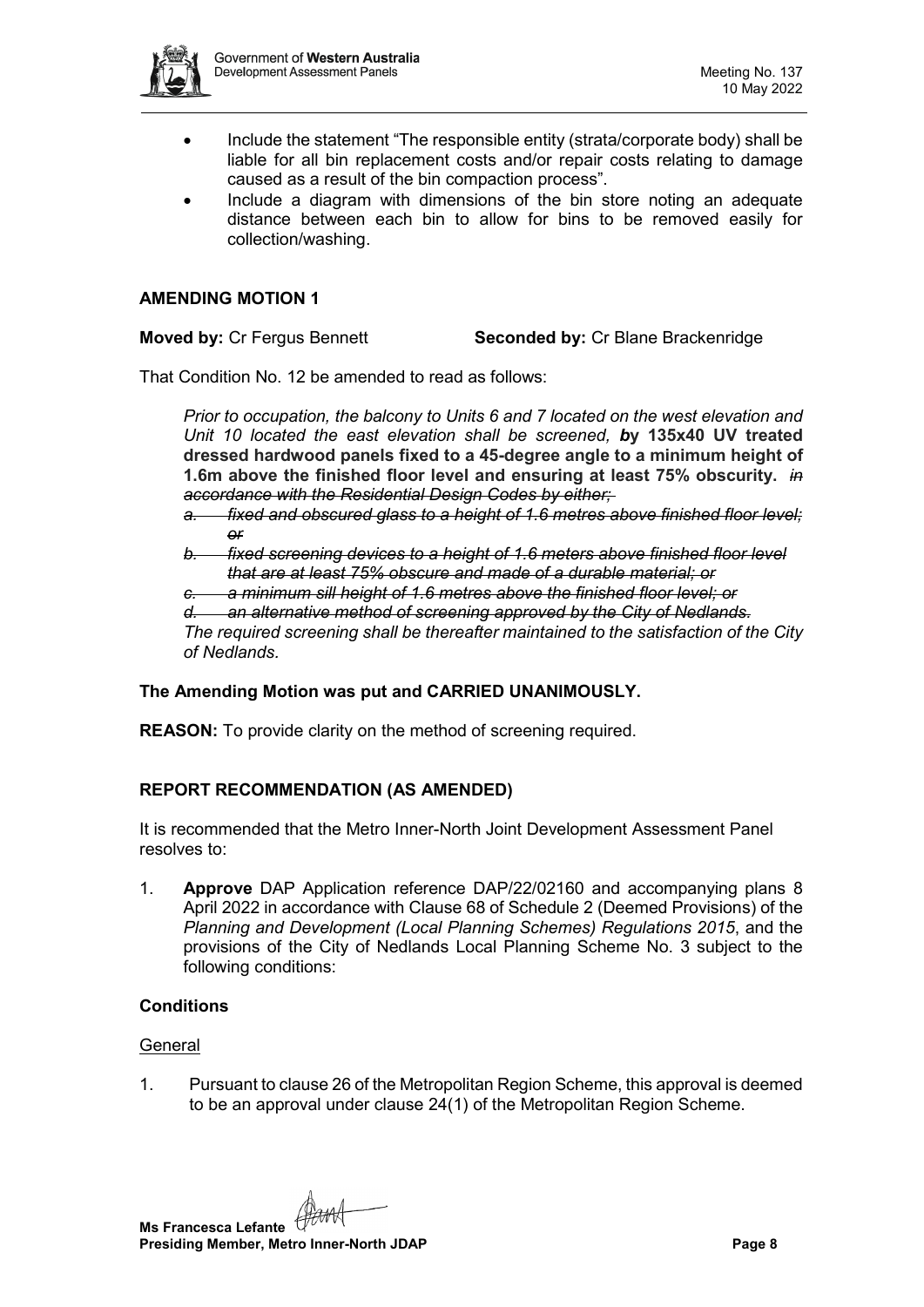

- Include the statement "The responsible entity (strata/corporate body) shall be liable for all bin replacement costs and/or repair costs relating to damage caused as a result of the bin compaction process".
- Include a diagram with dimensions of the bin store noting an adequate distance between each bin to allow for bins to be removed easily for collection/washing.

## **AMENDING MOTION 1**

**Moved by:** Cr Fergus Bennett **Seconded by:** Cr Blane Brackenridge

That Condition No. 12 be amended to read as follows:

*Prior to occupation, the balcony to Units 6 and 7 located on the west elevation and Unit 10 located the east elevation shall be screened, b***y 135x40 UV treated dressed hardwood panels fixed to a 45-degree angle to a minimum height of 1.6m above the finished floor level and ensuring at least 75% obscurity.** *in accordance with the Residential Design Codes by either;*

- *a. fixed and obscured glass to a height of 1.6 metres above finished floor level; or*
- *b. fixed screening devices to a height of 1.6 meters above finished floor level that are at least 75% obscure and made of a durable material; or*
- *c. a minimum sill height of 1.6 metres above the finished floor level; or*

*d. an alternative method of screening approved by the City of Nedlands.*

*The required screening shall be thereafter maintained to the satisfaction of the City of Nedlands.*

# **The Amending Motion was put and CARRIED UNANIMOUSLY.**

**REASON:** To provide clarity on the method of screening required.

# **REPORT RECOMMENDATION (AS AMENDED)**

It is recommended that the Metro Inner-North Joint Development Assessment Panel resolves to:

1. **Approve** DAP Application reference DAP/22/02160 and accompanying plans 8 April 2022 in accordance with Clause 68 of Schedule 2 (Deemed Provisions) of the *Planning and Development (Local Planning Schemes) Regulations 2015*, and the provisions of the City of Nedlands Local Planning Scheme No. 3 subject to the following conditions:

# **Conditions**

#### General

1. Pursuant to clause 26 of the Metropolitan Region Scheme, this approval is deemed to be an approval under clause 24(1) of the Metropolitan Region Scheme.

**Ms Francesca Lefante Presiding Member, Metro Inner-North JDAP Page 8**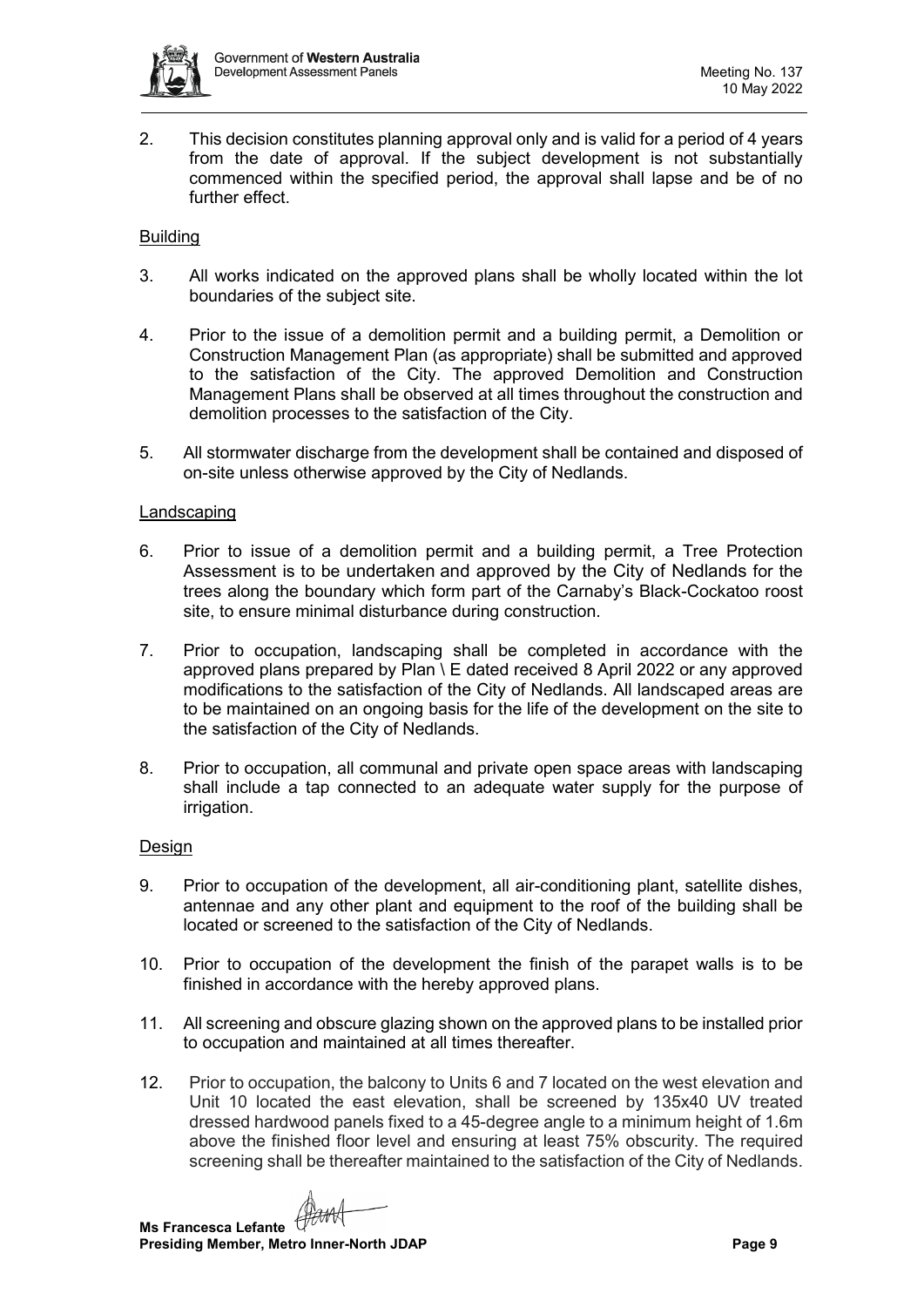

2. This decision constitutes planning approval only and is valid for a period of 4 years from the date of approval. If the subject development is not substantially commenced within the specified period, the approval shall lapse and be of no further effect.

## Building

- 3. All works indicated on the approved plans shall be wholly located within the lot boundaries of the subject site.
- 4. Prior to the issue of a demolition permit and a building permit, a Demolition or Construction Management Plan (as appropriate) shall be submitted and approved to the satisfaction of the City. The approved Demolition and Construction Management Plans shall be observed at all times throughout the construction and demolition processes to the satisfaction of the City.
- 5. All stormwater discharge from the development shall be contained and disposed of on-site unless otherwise approved by the City of Nedlands.

#### Landscaping

- 6. Prior to issue of a demolition permit and a building permit, a Tree Protection Assessment is to be undertaken and approved by the City of Nedlands for the trees along the boundary which form part of the Carnaby's Black-Cockatoo roost site, to ensure minimal disturbance during construction.
- 7. Prior to occupation, landscaping shall be completed in accordance with the approved plans prepared by Plan \ E dated received 8 April 2022 or any approved modifications to the satisfaction of the City of Nedlands. All landscaped areas are to be maintained on an ongoing basis for the life of the development on the site to the satisfaction of the City of Nedlands.
- 8. Prior to occupation, all communal and private open space areas with landscaping shall include a tap connected to an adequate water supply for the purpose of irrigation.

#### Design

- 9. Prior to occupation of the development, all air-conditioning plant, satellite dishes, antennae and any other plant and equipment to the roof of the building shall be located or screened to the satisfaction of the City of Nedlands.
- 10. Prior to occupation of the development the finish of the parapet walls is to be finished in accordance with the hereby approved plans.
- 11. All screening and obscure glazing shown on the approved plans to be installed prior to occupation and maintained at all times thereafter.
- 12. Prior to occupation, the balcony to Units 6 and 7 located on the west elevation and Unit 10 located the east elevation, shall be screened by 135x40 UV treated dressed hardwood panels fixed to a 45-degree angle to a minimum height of 1.6m above the finished floor level and ensuring at least 75% obscurity. The required screening shall be thereafter maintained to the satisfaction of the City of Nedlands.

**Ms Francesca Lefante**

**Presiding Member, Metro Inner-North JDAP Page 9**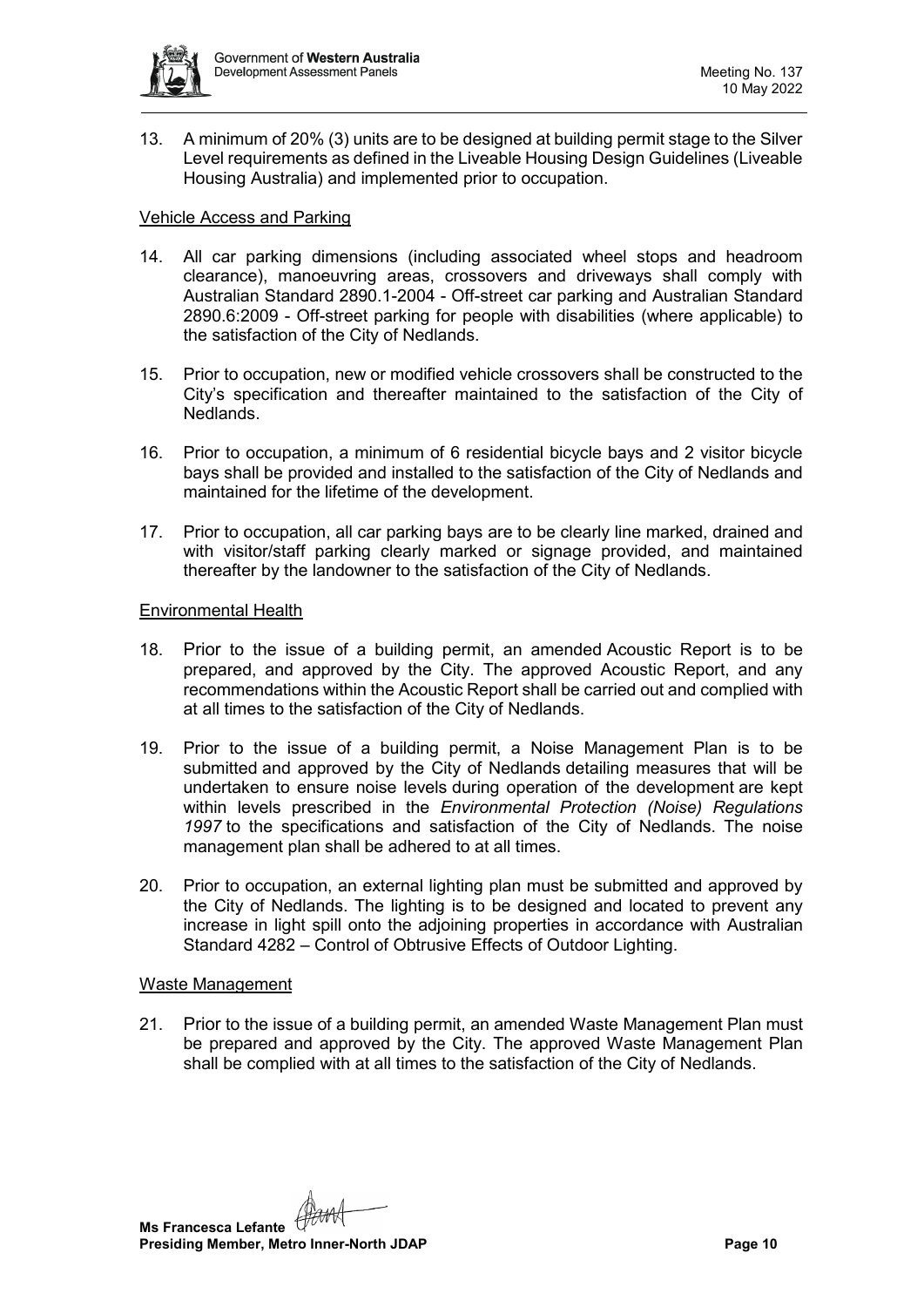

13. A minimum of 20% (3) units are to be designed at building permit stage to the Silver Level requirements as defined in the Liveable Housing Design Guidelines (Liveable Housing Australia) and implemented prior to occupation.

## Vehicle Access and Parking

- 14. All car parking dimensions (including associated wheel stops and headroom clearance), manoeuvring areas, crossovers and driveways shall comply with Australian Standard 2890.1-2004 - Off-street car parking and Australian Standard 2890.6:2009 - Off-street parking for people with disabilities (where applicable) to the satisfaction of the City of Nedlands.
- 15. Prior to occupation, new or modified vehicle crossovers shall be constructed to the City's specification and thereafter maintained to the satisfaction of the City of Nedlands.
- 16. Prior to occupation, a minimum of 6 residential bicycle bays and 2 visitor bicycle bays shall be provided and installed to the satisfaction of the City of Nedlands and maintained for the lifetime of the development.
- 17. Prior to occupation, all car parking bays are to be clearly line marked, drained and with visitor/staff parking clearly marked or signage provided, and maintained thereafter by the landowner to the satisfaction of the City of Nedlands.

#### Environmental Health

- 18. Prior to the issue of a building permit, an amended Acoustic Report is to be prepared, and approved by the City. The approved Acoustic Report, and any recommendations within the Acoustic Report shall be carried out and complied with at all times to the satisfaction of the City of Nedlands.
- 19. Prior to the issue of a building permit, a Noise Management Plan is to be submitted and approved by the City of Nedlands detailing measures that will be undertaken to ensure noise levels during operation of the development are kept within levels prescribed in the *Environmental Protection (Noise) Regulations 1997* to the specifications and satisfaction of the City of Nedlands.  The noise management plan shall be adhered to at all times.
- 20. Prior to occupation, an external lighting plan must be submitted and approved by the City of Nedlands. The lighting is to be designed and located to prevent any increase in light spill onto the adjoining properties in accordance with Australian Standard 4282 – Control of Obtrusive Effects of Outdoor Lighting.

#### Waste Management

21. Prior to the issue of a building permit, an amended Waste Management Plan must be prepared and approved by the City. The approved Waste Management Plan shall be complied with at all times to the satisfaction of the City of Nedlands.

**Ms Francesca Lefante Presiding Member, Metro Inner-North JDAP Page 10 Page 10**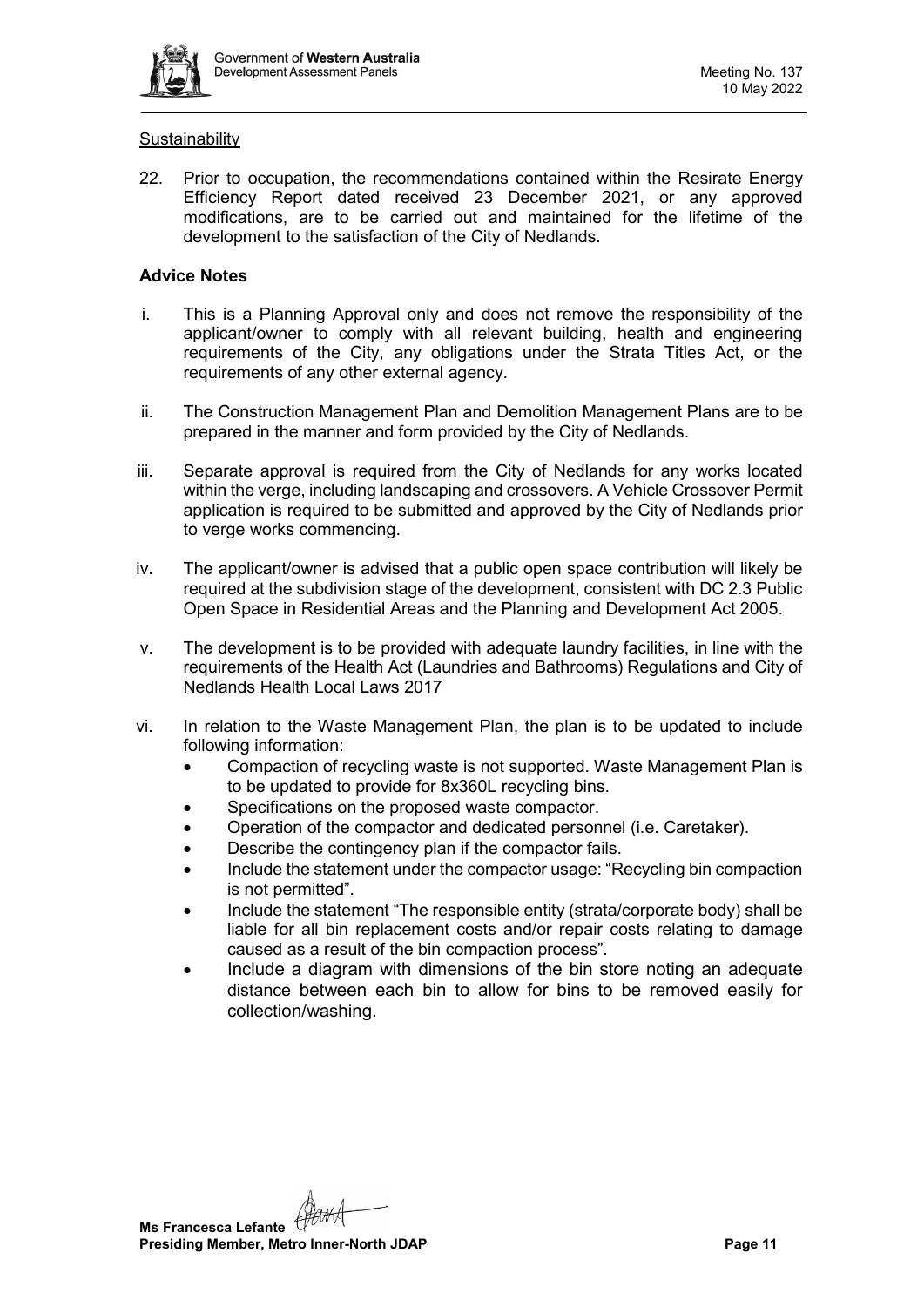

#### **Sustainability**

22. Prior to occupation, the recommendations contained within the Resirate Energy Efficiency Report dated received 23 December 2021, or any approved modifications, are to be carried out and maintained for the lifetime of the development to the satisfaction of the City of Nedlands.

## **Advice Notes**

- i. This is a Planning Approval only and does not remove the responsibility of the applicant/owner to comply with all relevant building, health and engineering requirements of the City, any obligations under the Strata Titles Act, or the requirements of any other external agency.
- ii. The Construction Management Plan and Demolition Management Plans are to be prepared in the manner and form provided by the City of Nedlands.
- iii. Separate approval is required from the City of Nedlands for any works located within the verge, including landscaping and crossovers. A Vehicle Crossover Permit application is required to be submitted and approved by the City of Nedlands prior to verge works commencing.
- iv. The applicant/owner is advised that a public open space contribution will likely be required at the subdivision stage of the development, consistent with DC 2.3 Public Open Space in Residential Areas and the Planning and Development Act 2005.
- v. The development is to be provided with adequate laundry facilities, in line with the requirements of the Health Act (Laundries and Bathrooms) Regulations and City of Nedlands Health Local Laws 2017
- vi. In relation to the Waste Management Plan, the plan is to be updated to include following information:
	- Compaction of recycling waste is not supported. Waste Management Plan is to be updated to provide for 8x360L recycling bins.
	- Specifications on the proposed waste compactor.
	- Operation of the compactor and dedicated personnel (i.e. Caretaker).
	- Describe the contingency plan if the compactor fails.
	- Include the statement under the compactor usage: "Recycling bin compaction is not permitted".
	- Include the statement "The responsible entity (strata/corporate body) shall be liable for all bin replacement costs and/or repair costs relating to damage caused as a result of the bin compaction process".
	- Include a diagram with dimensions of the bin store noting an adequate distance between each bin to allow for bins to be removed easily for collection/washing.

**Ms Francesca Lefante Presiding Member, Metro Inner-North JDAP Page 11 Page 11**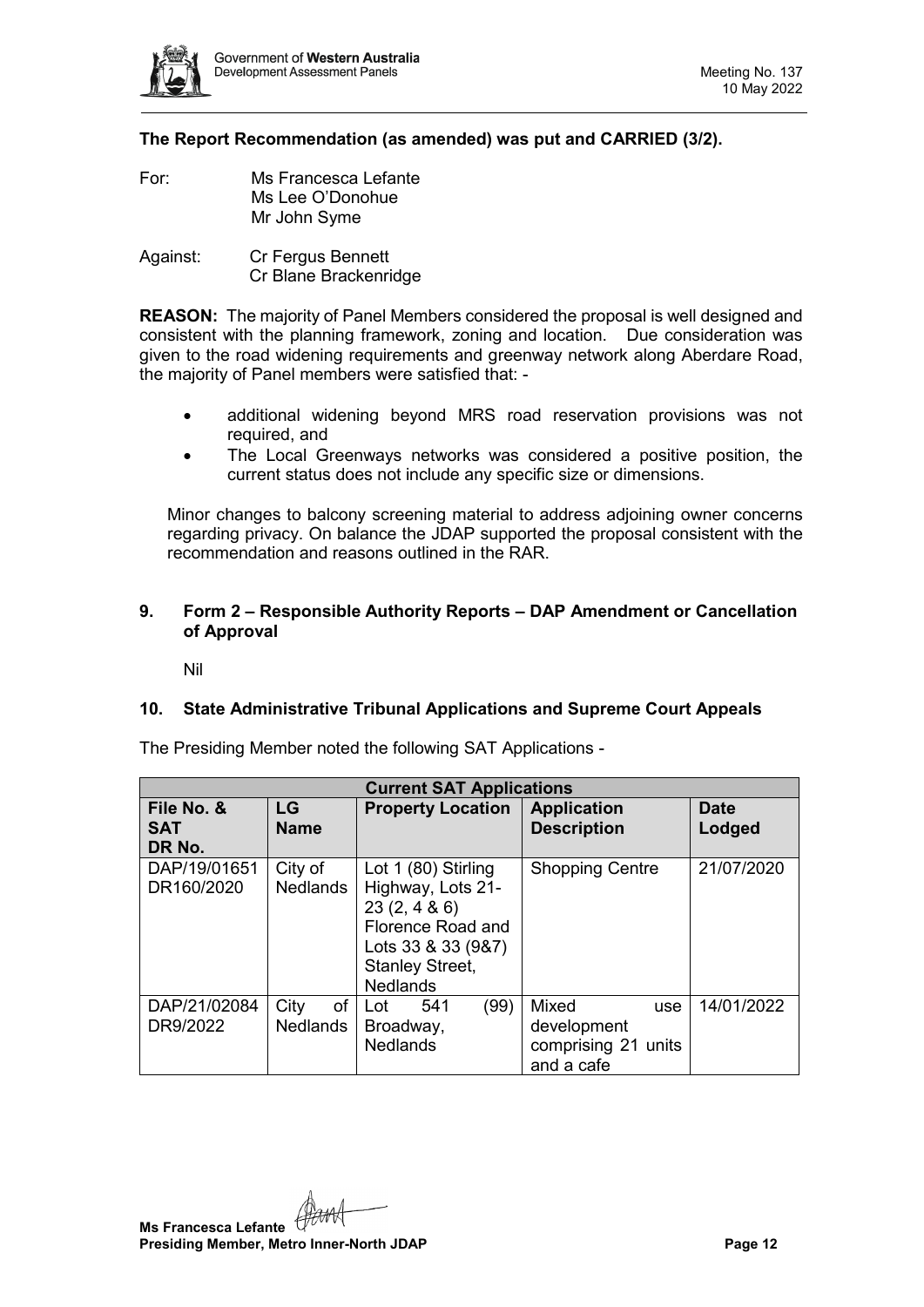

# **The Report Recommendation (as amended) was put and CARRIED (3/2).**

- For: Ms Francesca Lefante Ms Lee O'Donohue Mr John Syme
- Against: Cr Fergus Bennett Cr Blane Brackenridge

**REASON:** The majority of Panel Members considered the proposal is well designed and consistent with the planning framework, zoning and location. Due consideration was given to the road widening requirements and greenway network along Aberdare Road, the majority of Panel members were satisfied that: -

- additional widening beyond MRS road reservation provisions was not required, and
- The Local Greenways networks was considered a positive position, the current status does not include any specific size or dimensions.

Minor changes to balcony screening material to address adjoining owner concerns regarding privacy. On balance the JDAP supported the proposal consistent with the recommendation and reasons outlined in the RAR.

## <span id="page-11-0"></span>**9. Form 2 – Responsible Authority Reports – DAP Amendment or Cancellation of Approval**

Nil

#### <span id="page-11-2"></span><span id="page-11-1"></span>**10. State Administrative Tribunal Applications and Supreme Court Appeals**

| <b>Current SAT Applications</b>    |                               |                                                                                                                                                |                                                                  |                       |
|------------------------------------|-------------------------------|------------------------------------------------------------------------------------------------------------------------------------------------|------------------------------------------------------------------|-----------------------|
| File No. &<br><b>SAT</b><br>DR No. | LG<br><b>Name</b>             | <b>Property Location</b>                                                                                                                       | <b>Application</b><br><b>Description</b>                         | <b>Date</b><br>Lodged |
| DAP/19/01651<br>DR160/2020         | City of<br><b>Nedlands</b>    | Lot 1 (80) Stirling<br>Highway, Lots 21-<br>23(2, 486)<br>Florence Road and<br>Lots 33 & 33 (9&7)<br><b>Stanley Street,</b><br><b>Nedlands</b> | <b>Shopping Centre</b>                                           | 21/07/2020            |
| DAP/21/02084<br>DR9/2022           | City<br>of<br><b>Nedlands</b> | (99)<br>541<br>Lot<br>Broadway,<br><b>Nedlands</b>                                                                                             | Mixed<br>use<br>development<br>comprising 21 units<br>and a cafe | 14/01/2022            |

The Presiding Member noted the following SAT Applications -